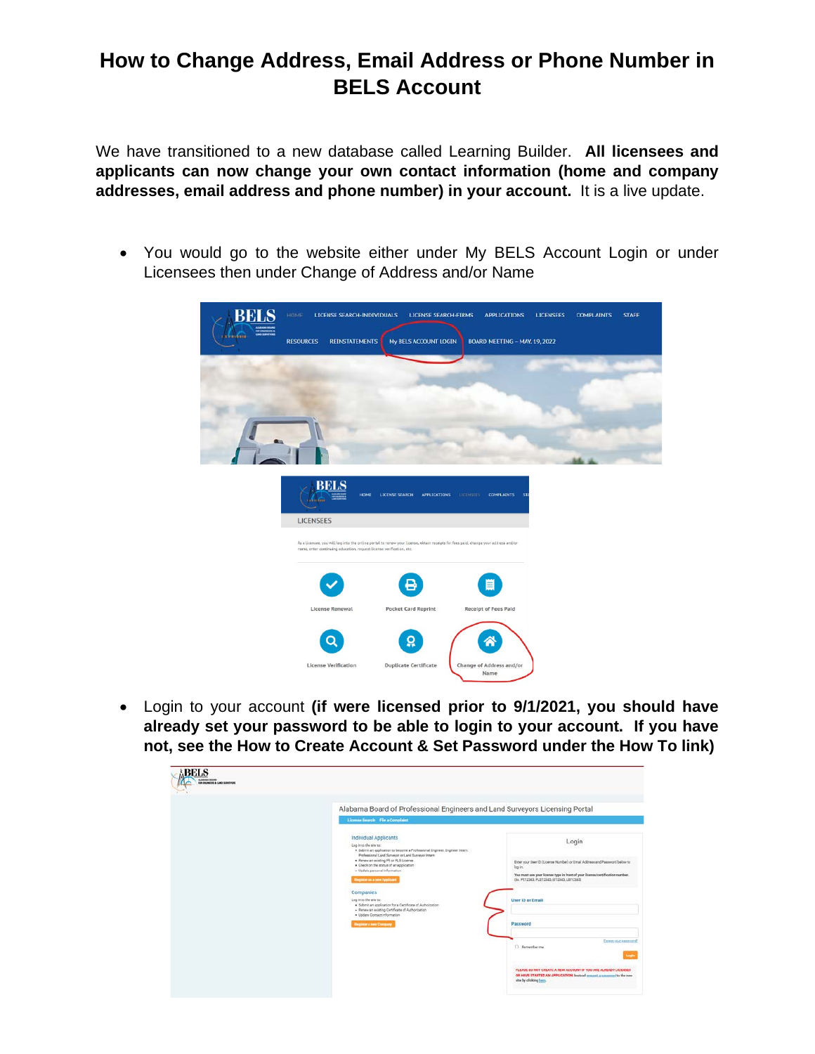# **How to Change Address, Email Address or Phone Number in BELS Account**

We have transitioned to a new database called Learning Builder. **All licensees and applicants can now change your own contact information (home and company addresses, email address and phone number) in your account.** It is a live update.

• You would go to the website either under My BELS Account Login or under Licensees then under Change of Address and/or Name

|                | HOME<br>LICENSE SEARCH-INDIVIDUALS<br><b>LICENSE SEARCH-FIRMS</b><br><b>APPLICATIONS</b><br><b>LICENSEES</b><br><b>COMPLAINTS</b><br><b>STAFF</b>                                                           |
|----------------|-------------------------------------------------------------------------------------------------------------------------------------------------------------------------------------------------------------|
| <b>SELEZER</b> | My BELS ACCOUNT LOGIN<br><b>REINSTATEMENTS</b><br>BOARD MEETING - MAY. 19, 2022<br><b>RESOURCES</b>                                                                                                         |
|                |                                                                                                                                                                                                             |
|                |                                                                                                                                                                                                             |
|                |                                                                                                                                                                                                             |
|                |                                                                                                                                                                                                             |
|                |                                                                                                                                                                                                             |
|                |                                                                                                                                                                                                             |
|                | <b>BELS</b><br>HOME<br>LICENSE SEARCH<br><b>APPLICATIONS</b><br><b>LICENSEES</b><br><b>COMPLAINTS STA</b><br><b>A</b> 1988                                                                                  |
|                | <b>LICENSEES</b>                                                                                                                                                                                            |
|                | As a licensee, you will log into the online portal to renew your license, obtain receipts for fees paid, change your address and/or<br>name, enter continuing education, request license verification, etc. |
|                | ≝<br>в                                                                                                                                                                                                      |
|                | License Renewal<br><b>Pocket Card Reprint</b><br><b>Receipt of Fees Paid</b>                                                                                                                                |
|                | <u><u>ណ្</u></u>                                                                                                                                                                                            |
|                | <b>License Verification</b><br><b>Duplicate Certificate</b><br>Change of Address and/or<br>Name                                                                                                             |

• Login to your account **(if were licensed prior to 9/1/2021, you should have already set your password to be able to login to your account. If you have not, see the How to Create Account & Set Password under the How To link)**

| Alabama Board of Professional Engineers and Land Surveyors Licensing Portal<br>License Search Flo a Complaint                                                                                                                                                                                                                                                        |                                                                                                                                                                                                                             |
|----------------------------------------------------------------------------------------------------------------------------------------------------------------------------------------------------------------------------------------------------------------------------------------------------------------------------------------------------------------------|-----------------------------------------------------------------------------------------------------------------------------------------------------------------------------------------------------------------------------|
| <b>Individual Applicants</b><br>Log in to the site to:<br>. Submit an application to become a Professional Engineer. Engineer Intern.<br>Professional Land Surveyor or Land Surveyor Intern<br>. Renew an axisting PE or PLS License<br>. Check on the status of an application<br>- Update personal information<br><b>Trepistor as a new Applicant</b><br>Companies | Login<br>Erter your User ID (License Number) or Email Address and Password below to<br>log in.<br>You must use your license type in front of your license/certification number.<br>(Ex. PE12345, PLS12345, E12345, LS12345) |
| Log in to the site to:<br>· Submit an application for a Dertificate of Authorization<br>- Renew an existing Certificate of Authorization<br>· Update Contact Information<br><b>Register a new Company</b>                                                                                                                                                            | <b>User ID or Email</b><br>Password                                                                                                                                                                                         |
|                                                                                                                                                                                                                                                                                                                                                                      | Forest voic permond<br>D. Remember me<br>togi<br>PLEASE DO NOT CREATE A NEW ACCOUNT IF YOU ARE ALREADY LICENSED<br>OR HAVE STARTED AN APPLICATION. Instead rement a parented to the new                                     |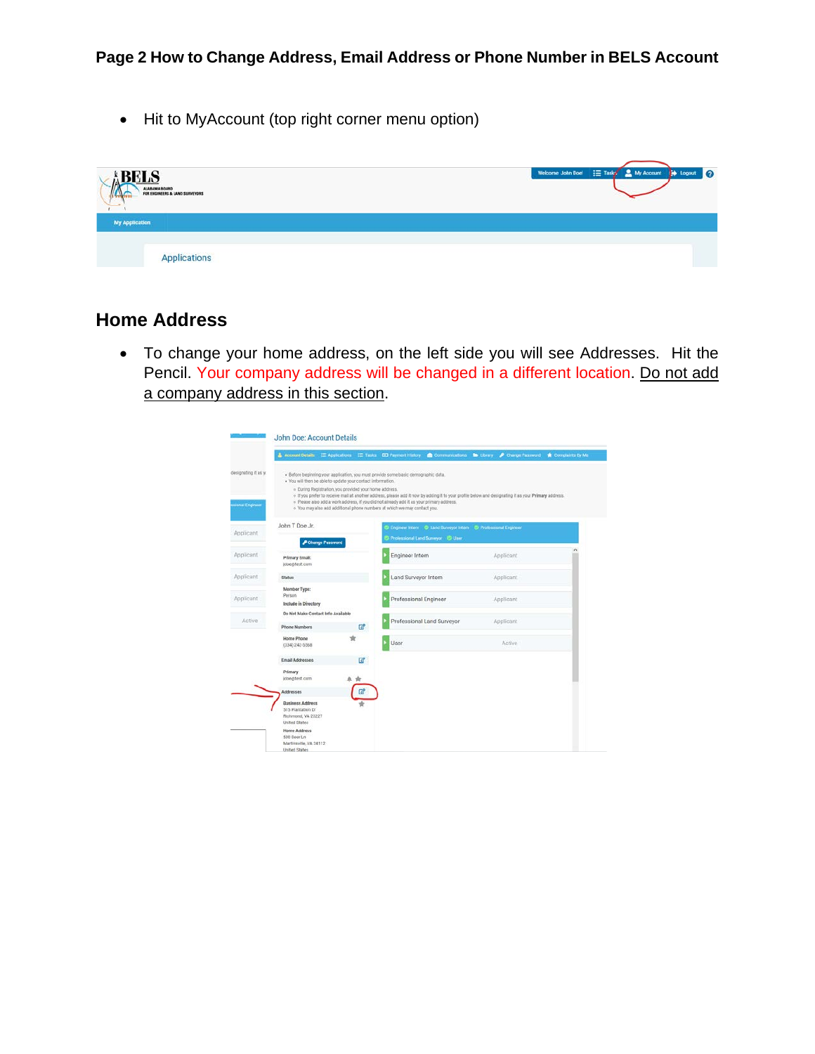• Hit to MyAccount (top right corner menu option)

| <b>ADLID</b><br>ALABAMA BOARD | FOR ENGINEERS & LAND SURVEYORS | Welcome John Doel : Tasky & My Account : Logout<br>10 |
|-------------------------------|--------------------------------|-------------------------------------------------------|
| <b>My Application</b>         |                                |                                                       |
|                               | Applications                   |                                                       |

# **Home Address**

• To change your home address, on the left side you will see Addresses. Hit the Pencil. Your company address will be changed in a different location. Do not add a company address in this section.

|                                         | Account Details E Applications E Tasks D Payment History Communications C Library P Change Password                                                                                                                                                                                     |                                                                                                                                                                                                                                                  |               | Complaints By Me |
|-----------------------------------------|-----------------------------------------------------------------------------------------------------------------------------------------------------------------------------------------------------------------------------------------------------------------------------------------|--------------------------------------------------------------------------------------------------------------------------------------------------------------------------------------------------------------------------------------------------|---------------|------------------|
| designating it as yo<br>sional Engineer | · Before beginning your application, you must provide some basic demographic data.<br>. You will then be able to update your contact information.<br>» During Registration, you provided your home address.<br>o You may also add additional phone numbers at which we may contact you. | o If you prefer to receive mail at another address, please add it now by adding it to your profile below and designating it as your Primary address.<br>· Please also add a work address, if you did not already add it as your primary address. |               |                  |
| Applicant                               | John T Doe Jr.                                                                                                                                                                                                                                                                          | Engineer Intern C Land Surveyor Intern C Professional Engineer                                                                                                                                                                                   |               |                  |
|                                         | P Change Password                                                                                                                                                                                                                                                                       | C Professional Land Surveyor C User                                                                                                                                                                                                              |               |                  |
| Applicant                               | <b>Primary Email:</b><br>(doe@fest.com)                                                                                                                                                                                                                                                 | Engineer Intern                                                                                                                                                                                                                                  | Applicant     |                  |
| Applicant                               | <b>Status</b>                                                                                                                                                                                                                                                                           | Land Surveyor Intern                                                                                                                                                                                                                             | Applicant     |                  |
| Applicant                               | Member Type:<br>Person<br><b>Include in Directory</b>                                                                                                                                                                                                                                   | Professional Engineer                                                                                                                                                                                                                            | Applicant     |                  |
|                                         | Do Not Make Contact Info Available                                                                                                                                                                                                                                                      |                                                                                                                                                                                                                                                  |               |                  |
| Active                                  | 図<br><b>Phone Numbers</b>                                                                                                                                                                                                                                                               | Professional Land Surveyor                                                                                                                                                                                                                       | Applicant     |                  |
|                                         | ŵ<br>Home Phone<br>(334) 242.5568                                                                                                                                                                                                                                                       | User                                                                                                                                                                                                                                             | <b>Active</b> |                  |
|                                         | $\mathbb{Z}^2$<br>Email Addresses                                                                                                                                                                                                                                                       |                                                                                                                                                                                                                                                  |               |                  |
|                                         | Primary<br>idoe@test.com<br>鱼食                                                                                                                                                                                                                                                          |                                                                                                                                                                                                                                                  |               |                  |
|                                         | Ø<br>Addresses                                                                                                                                                                                                                                                                          |                                                                                                                                                                                                                                                  |               |                  |
|                                         | <b>Business Address</b><br>515 Plantation Dr.<br>Richmond, VA 23227<br><b>United States</b>                                                                                                                                                                                             |                                                                                                                                                                                                                                                  |               |                  |
|                                         | <b>Home Address</b><br>500 Deer Ln.<br>Martinsville, VA 24112<br>United States                                                                                                                                                                                                          |                                                                                                                                                                                                                                                  |               |                  |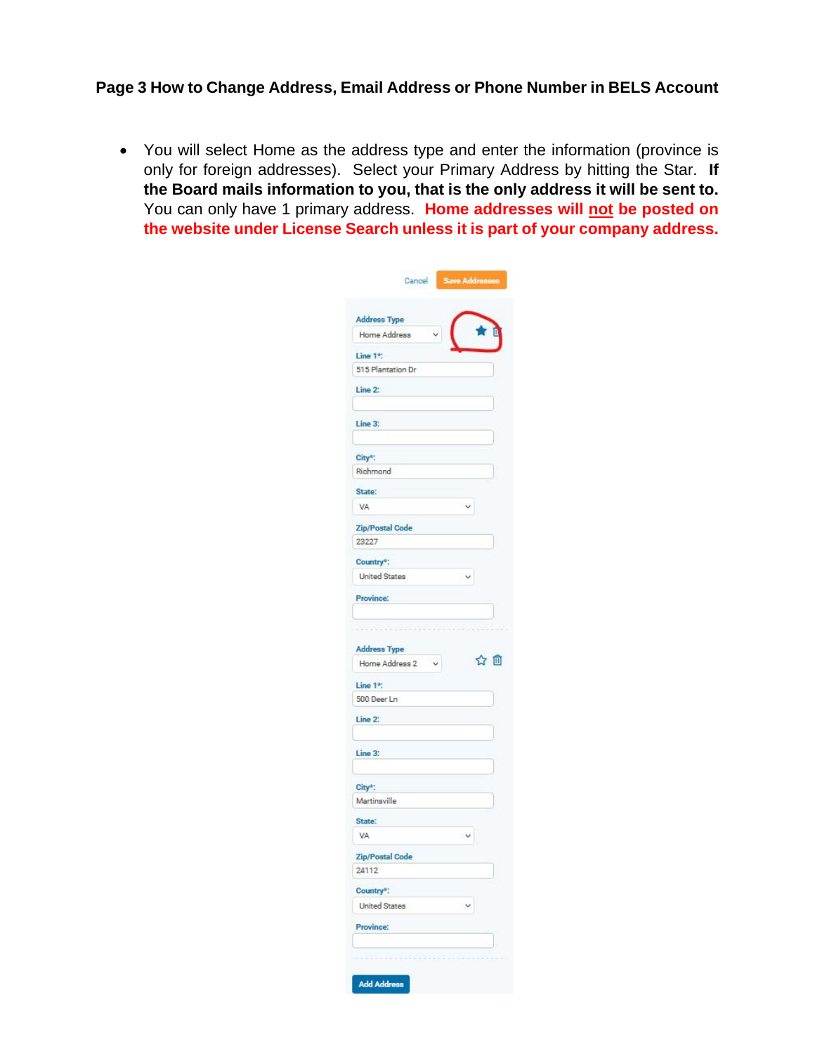#### **Page 3 How to Change Address, Email Address or Phone Number in BELS Account**

• You will select Home as the address type and enter the information (province is only for foreign addresses). Select your Primary Address by hitting the Star. **If the Board mails information to you, that is the only address it will be sent to.** You can only have 1 primary address. **Home addresses will not be posted on the website under License Search unless it is part of your company address.**

|                                     | Save Addresses       |
|-------------------------------------|----------------------|
| <b>Address Type</b><br>Home Address |                      |
| Line 1*:                            |                      |
| 515 Plantation Dr                   |                      |
| Line 2:                             |                      |
| Line 3:                             |                      |
| City*:                              |                      |
| Richmond                            |                      |
| State:                              |                      |
| VA                                  | Ÿ                    |
| Zip/Postal Code<br>23227            |                      |
| Country*:                           |                      |
| <b>United States</b>                | $\checkmark$         |
| <b>Province:</b>                    |                      |
|                                     |                      |
|                                     |                      |
| <b>Address Type</b>                 |                      |
| $\check{ }$<br>Home Address 2       | ☆ 血                  |
| Line 1*:                            |                      |
| 500 Deer Ln                         |                      |
|                                     |                      |
|                                     |                      |
| Line 2:                             |                      |
|                                     |                      |
| Line 3:                             |                      |
|                                     |                      |
| City*:                              |                      |
| Martinsville                        |                      |
| State:                              |                      |
| VA                                  | $\ddot{\phantom{1}}$ |
| Zip/Postal Code                     |                      |
| 24112                               |                      |
| Country*:                           |                      |
| <b>United States</b>                | $\checkmark$         |
| Province:                           |                      |
|                                     |                      |
|                                     |                      |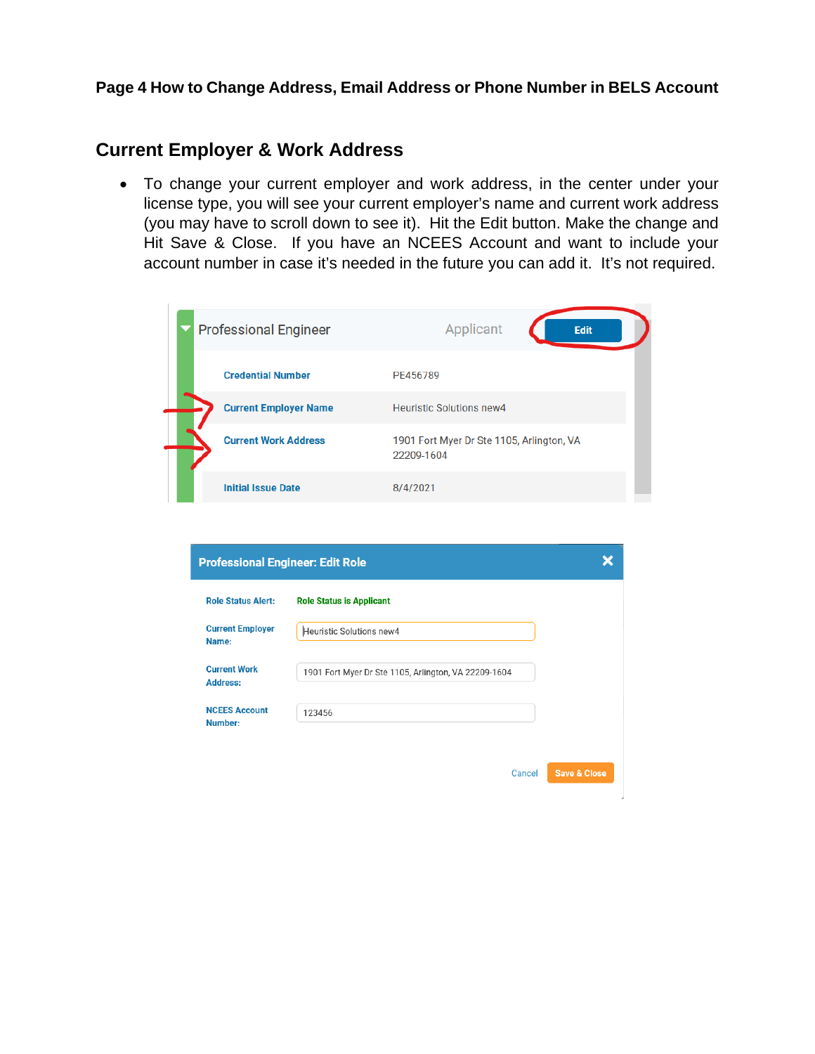#### **Page 4 How to Change Address, Email Address or Phone Number in BELS Account**

## **Current Employer & Work Address**

• To change your current employer and work address, in the center under your license type, you will see your current employer's name and current work address (you may have to scroll down to see it). Hit the Edit button. Make the change and Hit Save & Close. If you have an NCEES Account and want to include your account number in case it's needed in the future you can add it. It's not required.

| <b>Professional Engineer</b> | Applicant<br><b>Edit</b>                                |
|------------------------------|---------------------------------------------------------|
| <b>Credential Number</b>     | PE456789                                                |
| <b>Current Employer Name</b> | <b>Heuristic Solutions new4</b>                         |
| <b>Current Work Address</b>  | 1901 Fort Myer Dr Ste 1105, Arlington, VA<br>22209-1604 |
| <b>Initial Issue Date</b>    | 8/4/2021                                                |

| <b>Professional Engineer: Edit Role</b> |                                                      |                         |
|-----------------------------------------|------------------------------------------------------|-------------------------|
| <b>Role Status Alert:</b>               | <b>Role Status is Applicant</b>                      |                         |
| <b>Current Employer</b><br>Name:        | Heuristic Solutions new4                             |                         |
| <b>Current Work</b><br><b>Address:</b>  | 1901 Fort Myer Dr Ste 1105, Arlington, VA 22209-1604 |                         |
| <b>NCEES Account</b><br>Number:         | 123456                                               |                         |
|                                         | Cancel                                               | <b>Save &amp; Close</b> |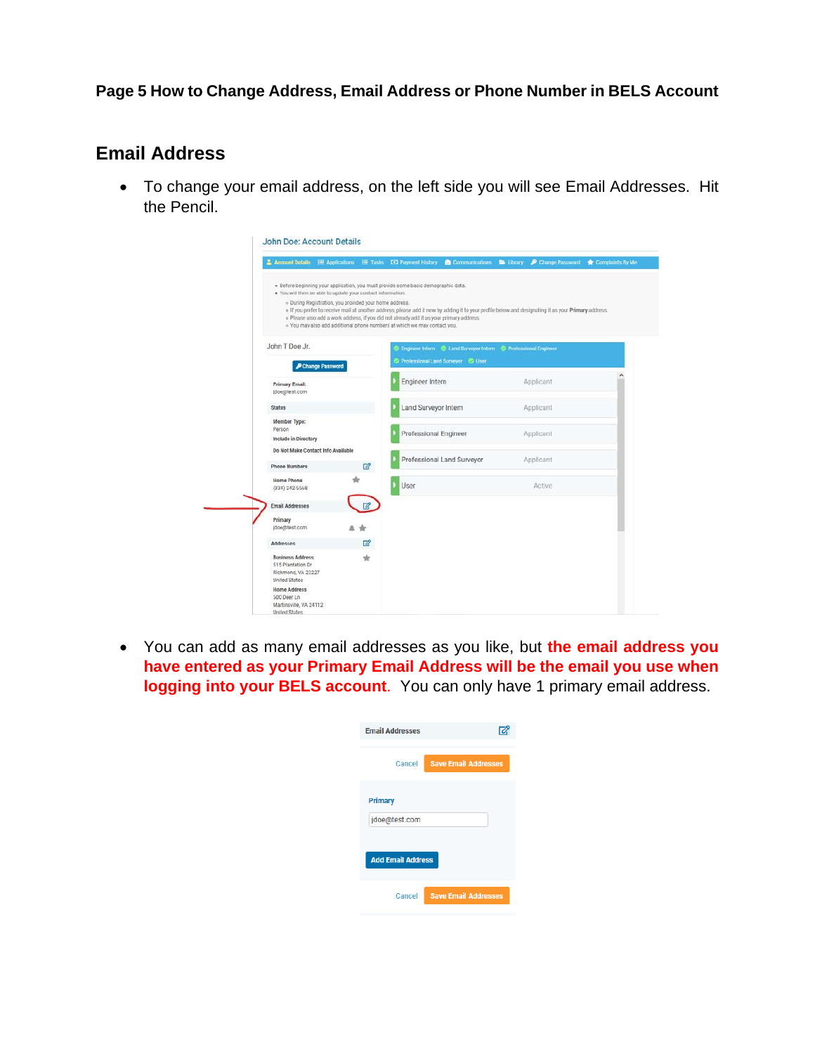## **Page 5 How to Change Address, Email Address or Phone Number in BELS Account**

# **Email Address**

• To change your email address, on the left side you will see Email Addresses. Hit the Pencil.

|                                                                                            |                                                             | Account Details E Applications E Tasks DD Payment History Communications C Ubrary P Change Password                                                                                                                                                                                                                          |                                                                  |           | Complaints By Me |
|--------------------------------------------------------------------------------------------|-------------------------------------------------------------|------------------------------------------------------------------------------------------------------------------------------------------------------------------------------------------------------------------------------------------------------------------------------------------------------------------------------|------------------------------------------------------------------|-----------|------------------|
|                                                                                            | . You will then be able to update your contact information. | · Before beginning your application, you must provide some basic demographic data.                                                                                                                                                                                                                                           |                                                                  |           |                  |
|                                                                                            | · During Registration, you provided your home address.      | o If you prefer to receive mail at another address, please add it now by adding it to your profile below and designating it as your Primary address.<br>. Please also add a work address, if you did not already add it as your primary address.<br>· You may also add additional phone numbers at which we may contact you. |                                                                  |           |                  |
| John T Doe Jr.                                                                             |                                                             |                                                                                                                                                                                                                                                                                                                              | C Engineer Intern C Land Surveyor Intern C Professional Engineer |           |                  |
|                                                                                            | P Change Password                                           | Professional Land Surveyor @ User                                                                                                                                                                                                                                                                                            |                                                                  |           |                  |
| <b>Primary Email:</b><br>jdoe@test.com                                                     |                                                             | Engineer Intern                                                                                                                                                                                                                                                                                                              |                                                                  | Applicant |                  |
| <b>Status</b>                                                                              |                                                             | Land Surveyor Intern                                                                                                                                                                                                                                                                                                         |                                                                  | Applicant |                  |
| Member Type:<br>Person<br>Include in Directory                                             |                                                             | Professional Engineer                                                                                                                                                                                                                                                                                                        |                                                                  | Applicant |                  |
|                                                                                            | Do Not Make Contact Info Available                          |                                                                                                                                                                                                                                                                                                                              | Professional Land Surveyor                                       | Applicant |                  |
| <b>Phone Numbers</b>                                                                       | $\mathbb{Z}^2$                                              |                                                                                                                                                                                                                                                                                                                              |                                                                  |           |                  |
| Home Phone<br>(334) 242-5568                                                               |                                                             | User                                                                                                                                                                                                                                                                                                                         |                                                                  | Active    |                  |
| <b>Email Addresses</b>                                                                     | 欧                                                           |                                                                                                                                                                                                                                                                                                                              |                                                                  |           |                  |
| Primary<br>doe@test.com                                                                    |                                                             |                                                                                                                                                                                                                                                                                                                              |                                                                  |           |                  |
| Addresses                                                                                  | 図                                                           |                                                                                                                                                                                                                                                                                                                              |                                                                  |           |                  |
| <b>Business Address</b><br>515 Plantation Dr<br>Richmond, VA 23227<br><b>United States</b> | ŵ                                                           |                                                                                                                                                                                                                                                                                                                              |                                                                  |           |                  |
| <b>Home Address</b><br>500 Deer Ln<br>Martinsville, VA 24112<br>Holted Phylan-             |                                                             |                                                                                                                                                                                                                                                                                                                              |                                                                  |           |                  |

• You can add as many email addresses as you like, but **the email address you have entered as your Primary Email Address will be the email you use when logging into your BELS account**. You can only have 1 primary email address.

| <b>Email Addresses</b>   |                             |
|--------------------------|-----------------------------|
| Cancel                   | <b>Save Email Addresses</b> |
| <b>Primary</b>           |                             |
| jdoe@test.com            |                             |
| <b>Add Email Address</b> |                             |
| Cancel                   | <b>Save Email Addresses</b> |